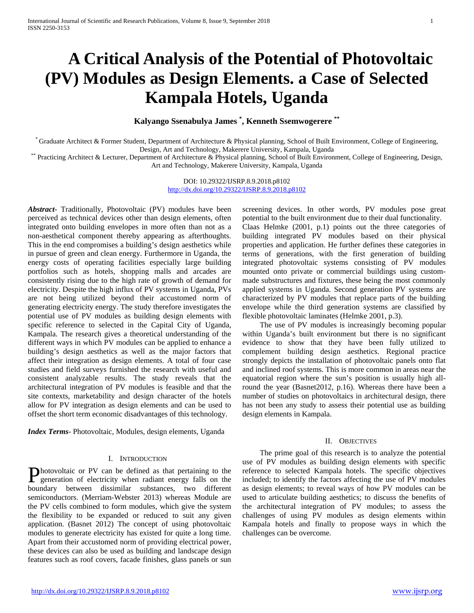# **A Critical Analysis of the Potential of Photovoltaic (PV) Modules as Design Elements. a Case of Selected Kampala Hotels, Uganda**

**Kalyango Ssenabulya James \* , Kenneth Ssemwogerere \*\***

\* Graduate Architect & Former Student, Department of Architecture & Physical planning, School of Built Environment, College of Engineering,

\*\* Practicing Architect & Lecturer, Department of Architecture & Physical planning, School of Built Environment, College of Engineering, Design, Art and Technology, Makerere University, Kampala, Uganda

> DOI: 10.29322/IJSRP.8.9.2018.p8102 <http://dx.doi.org/10.29322/IJSRP.8.9.2018.p8102>

*Abstract***-** Traditionally, Photovoltaic (PV) modules have been perceived as technical devices other than design elements, often integrated onto building envelopes in more often than not as a non-aesthetical component thereby appearing as afterthoughts. This in the end compromises a building's design aesthetics while in pursue of green and clean energy. Furthermore in Uganda, the energy costs of operating facilities especially large building portfolios such as hotels, shopping malls and arcades are consistently rising due to the high rate of growth of demand for electricity. Despite the high influx of PV systems in Uganda, PVs are not being utilized beyond their accustomed norm of generating electricity energy. The study therefore investigates the potential use of PV modules as building design elements with specific reference to selected in the Capital City of Uganda, Kampala. The research gives a theoretical understanding of the different ways in which PV modules can be applied to enhance a building's design aesthetics as well as the major factors that affect their integration as design elements. A total of four case studies and field surveys furnished the research with useful and consistent analyzable results. The study reveals that the architectural integration of PV modules is feasible and that the site contexts, marketability and design character of the hotels allow for PV integration as design elements and can be used to offset the short term economic disadvantages of this technology.

*Index Terms*- Photovoltaic, Modules, design elements, Uganda

#### I. INTRODUCTION

**Photovoltaic or PV can be defined as that pertaining to the generation of electricity when radiant energy falls on the leads** generation of electricity when radiant energy falls on the boundary between dissimilar substances, two different semiconductors. (Merriam-Webster 2013) whereas Module are the PV cells combined to form modules, which give the system the flexibility to be expanded or reduced to suit any given application. (Basnet 2012) The concept of using photovoltaic modules to generate electricity has existed for quite a long time. Apart from their accustomed norm of providing electrical power, these devices can also be used as building and landscape design features such as roof covers, facade finishes, glass panels or sun

screening devices. In other words, PV modules pose great potential to the built environment due to their dual functionality. Claas Helmke (2001, p.1) points out the three categories of building integrated PV modules based on their physical properties and application. He further defines these categories in terms of generations, with the first generation of building integrated photovoltaic systems consisting of PV modules mounted onto private or commercial buildings using custommade substructures and fixtures, these being the most commonly applied systems in Uganda. Second generation PV systems are characterized by PV modules that replace parts of the building envelope while the third generation systems are classified by flexible photovoltaic laminates (Helmke 2001, p.3).

 The use of PV modules is increasingly becoming popular within Uganda's built environment but there is no significant evidence to show that they have been fully utilized to complement building design aesthetics. Regional practice strongly depicts the installation of photovoltaic panels onto flat and inclined roof systems. This is more common in areas near the equatorial region where the sun's position is usually high allround the year (Basnet2012, p.16). Whereas there have been a number of studies on photovoltaics in architectural design, there has not been any study to assess their potential use as building design elements in Kampala.

#### II. OBJECTIVES

 The prime goal of this research is to analyze the potential use of PV modules as building design elements with specific reference to selected Kampala hotels. The specific objectives included; to identify the factors affecting the use of PV modules as design elements; to reveal ways of how PV modules can be used to articulate building aesthetics; to discuss the benefits of the architectural integration of PV modules; to assess the challenges of using PV modules as design elements within Kampala hotels and finally to propose ways in which the challenges can be overcome.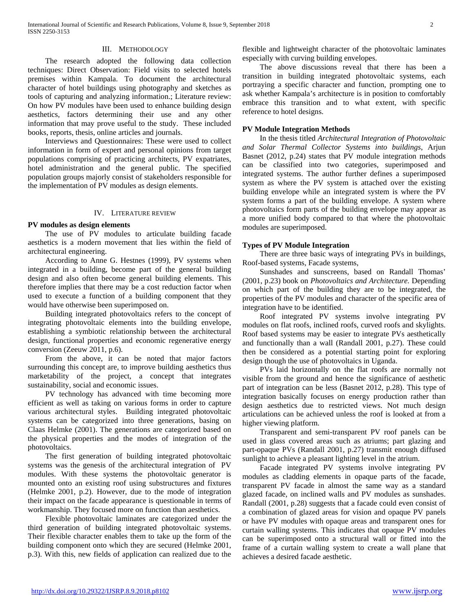### III. METHODOLOGY

 The research adopted the following data collection techniques: Direct Observation: Field visits to selected hotels premises within Kampala. To document the architectural character of hotel buildings using photography and sketches as tools of capturing and analyzing information.; Literature review: On how PV modules have been used to enhance building design aesthetics, factors determining their use and any other information that may prove useful to the study. These included books, reports, thesis, online articles and journals.

 Interviews and Questionnaires: These were used to collect information in form of expert and personal opinions from target populations comprising of practicing architects, PV expatriates, hotel administration and the general public. The specified population groups majorly consist of stakeholders responsible for the implementation of PV modules as design elements.

## IV. LITERATURE REVIEW

## **PV modules as design elements**

 The use of PV modules to articulate building facade aesthetics is a modern movement that lies within the field of architectural engineering.

 According to Anne G. Hestnes (1999), PV systems when integrated in a building, become part of the general building design and also often become general building elements. This therefore implies that there may be a cost reduction factor when used to execute a function of a building component that they would have otherwise been superimposed on.

 Building integrated photovoltaics refers to the concept of integrating photovoltaic elements into the building envelope, establishing a symbiotic relationship between the architectural design, functional properties and economic regenerative energy conversion (Zeeuw 2011, p.6).

 From the above, it can be noted that major factors surrounding this concept are, to improve building aesthetics thus marketability of the project, a concept that integrates sustainability, social and economic issues.

 PV technology has advanced with time becoming more efficient as well as taking on various forms in order to capture various architectural styles. Building integrated photovoltaic systems can be categorized into three generations, basing on Claas Helmke (2001). The generations are categorized based on the physical properties and the modes of integration of the photovoltaics.

 The first generation of building integrated photovoltaic systems was the genesis of the architectural integration of PV modules. With these systems the photovoltaic generator is mounted onto an existing roof using substructures and fixtures (Helmke 2001, p.2). However, due to the mode of integration their impact on the facade appearance is questionable in terms of workmanship. They focused more on function than aesthetics.

 Flexible photovoltaic laminates are categorized under the third generation of building integrated photovoltaic systems. Their flexible character enables them to take up the form of the building component onto which they are secured (Helmke 2001, p.3). With this, new fields of application can realized due to the

flexible and lightweight character of the photovoltaic laminates especially with curving building envelopes.

 The above discussions reveal that there has been a transition in building integrated photovoltaic systems, each portraying a specific character and function, prompting one to ask whether Kampala's architecture is in position to comfortably embrace this transition and to what extent, with specific reference to hotel designs.

## **PV Module Integration Methods**

 In the thesis titled *Architectural Integration of Photovoltaic and Solar Thermal Collector Systems into buildings*, Arjun Basnet (2012, p.24) states that PV module integration methods can be classified into two categories, superimposed and integrated systems. The author further defines a superimposed system as where the PV system is attached over the existing building envelope while an integrated system is where the PV system forms a part of the building envelope. A system where photovoltaics form parts of the building envelope may appear as a more unified body compared to that where the photovoltaic modules are superimposed.

#### **Types of PV Module Integration**

 There are three basic ways of integrating PVs in buildings, Roof-based systems, Facade systems,

 Sunshades and sunscreens, based on Randall Thomas' (2001, p.23) book on *Photovoltaics and Architecture.* Depending on which part of the building they are to be integrated, the properties of the PV modules and character of the specific area of integration have to be identified.

 Roof integrated PV systems involve integrating PV modules on flat roofs, inclined roofs, curved roofs and skylights. Roof based systems may be easier to integrate PVs aesthetically and functionally than a wall (Randall 2001, p.27). These could then be considered as a potential starting point for exploring design though the use of photovoltaics in Uganda.

 PVs laid horizontally on the flat roofs are normally not visible from the ground and hence the significance of aesthetic part of integration can be less (Basnet 2012, p.28). This type of integration basically focuses on energy production rather than design aesthetics due to restricted views. Not much design articulations can be achieved unless the roof is looked at from a higher viewing platform.

 Transparent and semi-transparent PV roof panels can be used in glass covered areas such as atriums; part glazing and part-opaque PVs (Randall 2001, p.27) transmit enough diffused sunlight to achieve a pleasant lighting level in the atrium.

 Facade integrated PV systems involve integrating PV modules as cladding elements in opaque parts of the facade, transparent PV facade in almost the same way as a standard glazed facade, on inclined walls and PV modules as sunshades. Randall (2001, p.28) suggests that a facade could even consist of a combination of glazed areas for vision and opaque PV panels or have PV modules with opaque areas and transparent ones for curtain walling systems. This indicates that opaque PV modules can be superimposed onto a structural wall or fitted into the frame of a curtain walling system to create a wall plane that achieves a desired facade aesthetic.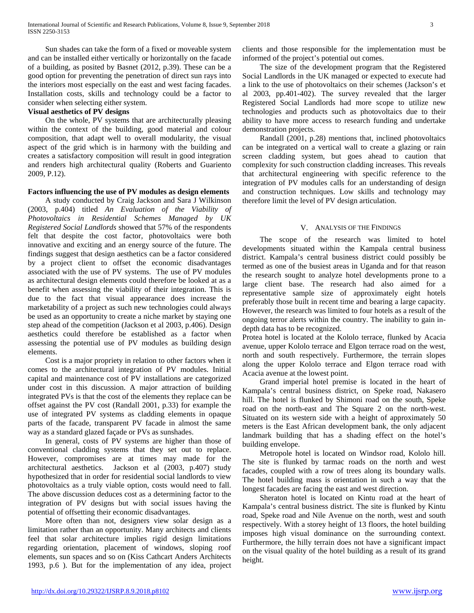Sun shades can take the form of a fixed or moveable system and can be installed either vertically or horizontally on the facade of a building, as posited by Basnet (2012, p.39). These can be a good option for preventing the penetration of direct sun rays into the interiors most especially on the east and west facing facades. Installation costs, skills and technology could be a factor to consider when selecting either system.

# **Visual aesthetics of PV designs**

 On the whole, PV systems that are architecturally pleasing within the context of the building, good material and colour composition, that adapt well to overall modularity, the visual aspect of the grid which is in harmony with the building and creates a satisfactory composition will result in good integration and renders high architectural quality (Roberts and Guariento 2009, P.12).

## **Factors influencing the use of PV modules as design elements**

 A study conducted by Craig Jackson and Sara J Wilkinson (2003, p.404) titled *An Evaluation of the Viability of Photovoltaics in Residential Schemes Managed by UK Registered Social Landlords* showed that 57% of the respondents felt that despite the cost factor, photovoltaics were both innovative and exciting and an energy source of the future. The findings suggest that design aesthetics can be a factor considered by a project client to offset the economic disadvantages associated with the use of PV systems. The use of PV modules as architectural design elements could therefore be looked at as a benefit when assessing the viability of their integration. This is due to the fact that visual appearance does increase the marketability of a project as such new technologies could always be used as an opportunity to create a niche market by staying one step ahead of the competition (Jackson et al 2003, p.406). Design aesthetics could therefore be established as a factor when assessing the potential use of PV modules as building design elements.

 Cost is a major propriety in relation to other factors when it comes to the architectural integration of PV modules. Initial capital and maintenance cost of PV installations are categorized under cost in this discussion. A major attraction of building integrated PVs is that the cost of the elements they replace can be offset against the PV cost (Randall 2001, p.33) for example the use of integrated PV systems as cladding elements in opaque parts of the facade, transparent PV facade in almost the same way as a standard glazed façade or PVs as sunshades.

 In general, costs of PV systems are higher than those of conventional cladding systems that they set out to replace. However, compromises are at times may made for the architectural aesthetics. Jackson et al (2003, p.407) study hypothesized that in order for residential social landlords to view photovoltaics as a truly viable option, costs would need to fall. The above discussion deduces cost as a determining factor to the integration of PV designs but with social issues having the potential of offsetting their economic disadvantages.

 More often than not, designers view solar design as a limitation rather than an opportunity. Many architects and clients feel that solar architecture implies rigid design limitations regarding orientation, placement of windows, sloping roof elements, sun spaces and so on (Kiss Cathcart Anders Architects 1993, p.6 ). But for the implementation of any idea, project

clients and those responsible for the implementation must be informed of the project's potential out comes.

 The size of the development program that the Registered Social Landlords in the UK managed or expected to execute had a link to the use of photovoltaics on their schemes (Jackson's et al 2003, pp.401-402). The survey revealed that the larger Registered Social Landlords had more scope to utilize new technologies and products such as photovoltaics due to their ability to have more access to research funding and undertake demonstration projects.

 Randall (2001, p.28) mentions that, inclined photovoltaics can be integrated on a vertical wall to create a glazing or rain screen cladding system, but goes ahead to caution that complexity for such construction cladding increases. This reveals that architectural engineering with specific reference to the integration of PV modules calls for an understanding of design and construction techniques. Low skills and technology may therefore limit the level of PV design articulation.

## V. ANALYSIS OF THE FINDINGS

 The scope of the research was limited to hotel developments situated within the Kampala central business district. Kampala's central business district could possibly be termed as one of the busiest areas in Uganda and for that reason the research sought to analyze hotel developments prone to a large client base. The research had also aimed for a representative sample size of approximately eight hotels preferably those built in recent time and bearing a large capacity. However, the research was limited to four hotels as a result of the ongoing terror alerts within the country. The inability to gain indepth data has to be recognized.

Protea hotel is located at the Kololo terrace, flunked by Acacia avenue, upper Kololo terrace and Elgon terrace road on the west, north and south respectively. Furthermore, the terrain slopes along the upper Kololo terrace and Elgon terrace road with Acacia avenue at the lowest point.

 Grand imperial hotel premise is located in the heart of Kampala's central business district, on Speke road, Nakasero hill. The hotel is flunked by Shimoni road on the south, Speke road on the north-east and The Square 2 on the north-west. Situated on its western side with a height of approximately 50 meters is the East African development bank, the only adjacent landmark building that has a shading effect on the hotel's building envelope.

 Metropole hotel is located on Windsor road, Kololo hill. The site is flunked by tarmac roads on the north and west facades, coupled with a row of trees along its boundary walls. The hotel building mass is orientation in such a way that the longest facades are facing the east and west direction.

 Sheraton hotel is located on Kintu road at the heart of Kampala's central business district. The site is flunked by Kintu road, Speke road and Nile Avenue on the north, west and south respectively. With a storey height of 13 floors, the hotel building imposes high visual dominance on the surrounding context. Furthermore, the hilly terrain does not have a significant impact on the visual quality of the hotel building as a result of its grand height.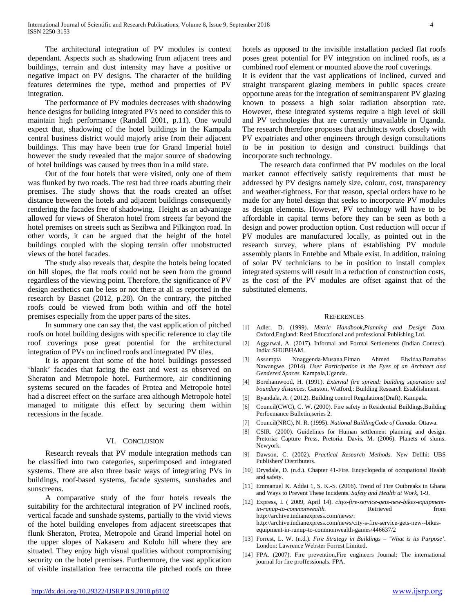The architectural integration of PV modules is context dependant. Aspects such as shadowing from adjacent trees and buildings, terrain and dust intensity may have a positive or negative impact on PV designs. The character of the building features determines the type, method and properties of PV integration.

 The performance of PV modules decreases with shadowing hence designs for building integrated PVs need to consider this to maintain high performance (Randall 2001, p.11). One would expect that, shadowing of the hotel buildings in the Kampala central business district would majorly arise from their adjacent buildings. This may have been true for Grand Imperial hotel however the study revealed that the major source of shadowing of hotel buildings was caused by trees thou in a mild state.

 Out of the four hotels that were visited, only one of them was flunked by two roads. The rest had three roads abutting their premises. The study shows that the roads created an offset distance between the hotels and adjacent buildings consequently rendering the facades free of shadowing. Height as an advantage allowed for views of Sheraton hotel from streets far beyond the hotel premises on streets such as Sezibwa and Pilkington road. In other words, it can be argued that the height of the hotel buildings coupled with the sloping terrain offer unobstructed views of the hotel facades.

 The study also reveals that, despite the hotels being located on hill slopes, the flat roofs could not be seen from the ground regardless of the viewing point. Therefore, the significance of PV design aesthetics can be less or not there at all as reported in the research by Basnet (2012, p.28). On the contrary, the pitched roofs could be viewed from both within and off the hotel premises especially from the upper parts of the sites.

 In summary one can say that, the vast application of pitched roofs on hotel building designs with specific reference to clay tile roof coverings pose great potential for the architectural integration of PVs on inclined roofs and integrated PV tiles.

 It is apparent that some of the hotel buildings possessed 'blank' facades that facing the east and west as observed on Sheraton and Metropole hotel. Furthermore, air conditioning systems secured on the facades of Protea and Metropole hotel had a discreet effect on the surface area although Metropole hotel managed to mitigate this effect by securing them within recessions in the facade.

#### VI. CONCLUSION

 Research reveals that PV module integration methods can be classified into two categories, superimposed and integrated systems. There are also three basic ways of integrating PVs in buildings, roof-based systems, facade systems, sunshades and sunscreens.

 A comparative study of the four hotels reveals the suitability for the architectural integration of PV inclined roofs, vertical facade and sunshade systems, partially to the vivid views of the hotel building envelopes from adjacent streetscapes that flunk Sheraton, Protea, Metropole and Grand Imperial hotel on the upper slopes of Nakasero and Kololo hill where they are situated. They enjoy high visual qualities without compromising security on the hotel premises. Furthermore, the vast application of visible installation free terracotta tile pitched roofs on three

hotels as opposed to the invisible installation packed flat roofs poses great potential for PV integration on inclined roofs, as a combined roof element or mounted above the roof coverings.

It is evident that the vast applications of inclined, curved and straight transparent glazing members in public spaces create opportune areas for the integration of semitransparent PV glazing known to possess a high solar radiation absorption rate. However, these integrated systems require a high level of skill and PV technologies that are currently unavailable in Uganda. The research therefore proposes that architects work closely with PV expatriates and other engineers through design consultations to be in position to design and construct buildings that incorporate such technology.

 The research data confirmed that PV modules on the local market cannot effectively satisfy requirements that must be addressed by PV designs namely size, colour, cost, transparency and weather-tightness. For that reason, special orders have to be made for any hotel design that seeks to incorporate PV modules as design elements. However, PV technology will have to be affordable in capital terms before they can be seen as both a design and power production option. Cost reduction will occur if PV modules are manufactured locally, as pointed out in the research survey, where plans of establishing PV module assembly plants in Entebbe and Mbale exist. In addition, training of solar PV technicians to be in position to install complex integrated systems will result in a reduction of construction costs, as the cost of the PV modules are offset against that of the substituted elements.

#### **REFERENCES**

- [1] Adler, D. (1999). *Metric Handbook,Planning and Design Data.* Oxford,England: Reed Educational and professional Publishing Ltd.
- [2] Aggarwal, A. (2017). Informal and Formal Settlements (Indian Context). India: SHUBHAM.
- [3] Assumpta Nnaggenda-Musana,Eiman Ahmed Elwidaa,Barnabas Nawangwe. (2014). *User Participation in the Eyes of an Architect and Gendered Spaces.* Kampala,Uganda.
- [4] Borehamwood, H. (1991). *External fire spread: building separation and boundary distances.* Garston, Watford,: Building Research Establishment.
- [5] Byandala, A. ( 2012). Building control Regulations(Draft). Kampala.
- [6] Council(CWC), C. W. (2000). Fire safety in Residential Buildings, Building Perfoemance Bulletin,series 2.
- [7] Council(NRC), N. R. (1995). *National BuildingCode of Canada.* Ottawa.
- [8] CSIR. (2000). Guidelines for Human settlement planning and design. Pretoria: Capture Press, Pretoria. Davis, M. (2006). Planets of slums. Newyork.
- [9] Dawson, C. (2002). *Practical Research Methods.* New Dellhi: UBS Publishers' Distributers.
- [10] Drysdale, D. (n.d.). Chapter 41-Fire. Encyclopedia of occupational Health and safety.
- [11] Emmanuel K. Addai 1, S. K.-S. (2016). Trend of Fire Outbreaks in Ghana and Ways to Prevent These Incidents. *Safety and Health at Work*, 1-9.
- [12] Express, I. ( 2009, April 14). *citys-fire-service-gets-new-bikes-equipmentin-runup-to-commonwealth.* Retrieved from http://archive.indianexpress.com/news/: http://archive.indianexpress.com/news/city-s-fire-service-gets-new--bikesequipment-in-runup-to-commonwealth-games/446637/2
- [13] Forrest, L. W. (n.d.). *Fire Strategy in Buildings – 'What is its Purpose'.* London: Lawrence Webster Forrest Limited.
- [14] FPA. (2007). Fire prevention,Fire engineers Journal: The international journal for fire proffessionals. FPA.